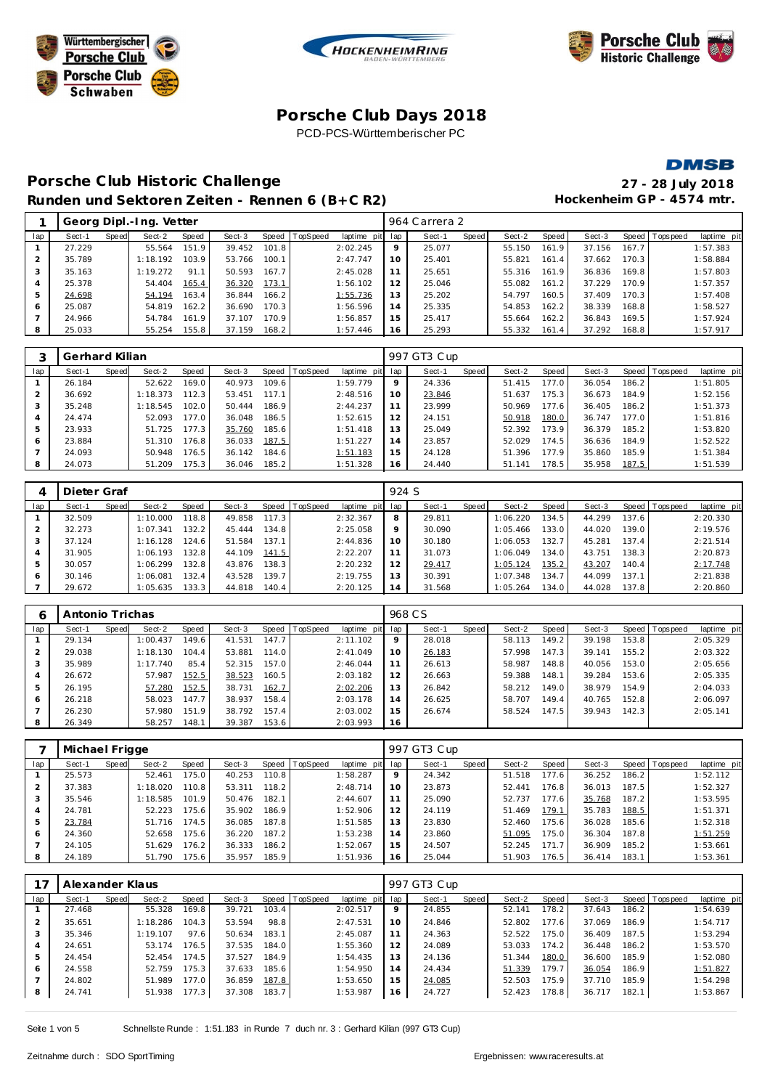





## **Porsche C lub Days 2018** PCD-PCS-Württemberischer PC

#### **DMSB**

# **Porsche C lub Historic Challenge 27 - 28 July 2018** Runden und Sektoren Zeiten - Rennen 6 (B+C R2) **Hockenheim GP** - 4574 mtr.

|     |        |       | Georg Dipl.-Ing. Vetter |       |        |       |                |             |     | 964 Carrera 2 |       |        |       |        |       |                |             |
|-----|--------|-------|-------------------------|-------|--------|-------|----------------|-------------|-----|---------------|-------|--------|-------|--------|-------|----------------|-------------|
| lap | Sect-1 | Speed | Sect-2                  | Speed | Sect-3 |       | Speed TopSpeed | laptime pit | lap | Sect-1        | Speed | Sect-2 | Speed | Sect-3 |       | Speed Topspeed | laptime pit |
|     | 27.229 |       | 55.564                  | 151.9 | 39.452 | 101.8 |                | 2:02.245    | 9   | 25.077        |       | 55.150 | 161.9 | 37.156 | 167.7 |                | 1:57.383    |
|     | 35.789 |       | 1:18.192                | 103.9 | 53.766 | 100.1 |                | 2:47.747    | 10  | 25.401        |       | 55.821 | 161.4 | 37.662 | 170.3 |                | 1:58.884    |
|     | 35.163 |       | 1:19.272                | 91.1  | 50.593 | 167.7 |                | 2:45.028    | 11  | 25.651        |       | 55.316 | 161.9 | 36.836 | 169.8 |                | 1:57.803    |
|     | 25.378 |       | 54.404                  | 165.4 | 36.320 | 173.1 |                | 1:56.102    | 12  | 25.046        |       | 55.082 | 161.2 | 37.229 | 170.9 |                | 1:57.357    |
|     | 24.698 |       | 54.194                  | 163.4 | 36.844 | 166.2 |                | 1:55.736    | 13  | 25.202        |       | 54.797 | 160.5 | 37.409 | 170.3 |                | 1:57.408    |
| 6   | 25.087 |       | 54.819                  | 162.2 | 36.690 | 170.3 |                | 1:56.596    | 14  | 25.335        |       | 54.853 | 162.2 | 38.339 | 168.8 |                | 1:58.527    |
|     | 24.966 |       | 54.784                  | 161.9 | 37.107 | 170.9 |                | 1:56.857    | 15  | 25.417        |       | 55.664 | 162.2 | 36.843 | 169.5 |                | 1:57.924    |
| 8   | 25.033 |       | 55.254                  | 155.8 | 37.159 | 168.2 |                | 1:57.446    | 16  | 25.293        |       | 55.332 | 161.4 | 37.292 | 168.8 |                | 1:57.917    |
|     |        |       |                         |       |        |       |                |             |     |               |       |        |       |        |       |                |             |

|     | Gerhard Kilian |       |          |                    |        |                    |                |             |     | 997 GT3 Cup |       |        |       |        |       |                 |             |
|-----|----------------|-------|----------|--------------------|--------|--------------------|----------------|-------------|-----|-------------|-------|--------|-------|--------|-------|-----------------|-------------|
| lap | Sect-1         | Speed | Sect-2   | Speed              | Sect-3 |                    | Speed TopSpeed | laptime pit | lap | Sect-1      | Speed | Sect-2 | Speed | Sect-3 |       | Speed Tops peed | laptime pit |
|     | 26.184         |       | 52.622   | 169.01             | 40.973 | 109.6              |                | 1:59.779    | 9   | 24.336      |       | 51.415 | 177.0 | 36.054 | 186.2 |                 | 1:51.805    |
|     | 36.692         |       | 1:18.373 | 112.3              | 53.451 | 117.1              |                | 2:48.516    | 10  | 23.846      |       | 51.637 | 175.3 | 36.673 | 184.9 |                 | 1:52.156    |
| 3   | 35.248         |       | 1:18.545 | 102.0              | 50.444 | 186.9              |                | 2:44.237    | 11  | 23.999      |       | 50.969 | 177.6 | 36.405 | 186.2 |                 | 1:51.373    |
| 4   | 24.474         |       | 52.093   | 177.0 <sub>1</sub> | 36.048 | 186.5              |                | 1:52.615    | 12  | 24.151      |       | 50.918 | 180.0 | 36.747 | 177.0 |                 | 1:51.816    |
| 5   | 23.933         |       | 51.725   | 177.3              | 35.760 | 185.6              |                | 1:51.418    | 13  | 25.049      |       | 52.392 | 173.9 | 36.379 | 185.2 |                 | 1:53.820    |
| 6   | 23.884         |       | 51.310   | 176.8              | 36.033 | 187.5              |                | 1:51.227    | 14  | 23.857      |       | 52.029 | 174.5 | 36.636 | 184.9 |                 | 1:52.522    |
|     | 24.093         |       | 50.948   | 176.5              | 36.142 | 184.6 <sub>1</sub> |                | 1:51.183    | 15  | 24.128      |       | 51.396 | 177.9 | 35.860 | 185.9 |                 | 1:51.384    |
| 8   | 24.073         |       | 51.209   | 175.3              | 36.046 | 185.2              |                | 1:51.328    | 16  | 24.440      |       | 51.141 | 178.5 | 35.958 | 187.5 |                 | 1:51.539    |

|     | Dieter Graf |       |          |       |        |       |                |                 | 924 S |        |       |          |       |        |       |                |             |
|-----|-------------|-------|----------|-------|--------|-------|----------------|-----------------|-------|--------|-------|----------|-------|--------|-------|----------------|-------------|
| lap | Sect-1      | Speed | Sect-2   | Speed | Sect-3 |       | Speed TopSpeed | laptime pit lap |       | Sect-1 | Speed | Sect-2   | Speed | Sect-3 |       | Speed Topspeed | laptime pit |
|     | 32.509      |       | 1:10.000 | 118.8 | 49.858 | 117.3 |                | 2:32.367        | 8     | 29.811 |       | 1:06.220 | 134.5 | 44.299 | 137.6 |                | 2:20.330    |
|     | 32.273      |       | 1:07.341 | 132.2 | 45.444 | 134.8 |                | 2:25.058        | 9     | 30.090 |       | 1:05.466 | 133.0 | 44.020 | 139.0 |                | 2:19.576    |
|     | 37.124      |       | 1:16.128 | 124.6 | 51.584 | 137.1 |                | 2:44.836        | 10    | 30.180 |       | 1:06.053 | 132.7 | 45.281 | 137.4 |                | 2:21.514    |
| 4   | 31.905      |       | 1:06.193 | 132.8 | 44.109 | 141.5 |                | 2:22.207        | 11    | 31.073 |       | 1:06.049 | 134.0 | 43.751 | 138.3 |                | 2:20.873    |
| 5   | 30.057      |       | 1:06.299 | 132.8 | 43.876 | 138.3 |                | 2:20.232        | 12    | 29.417 |       | 1:05.124 | 135.2 | 43.207 | 140.4 |                | 2:17.748    |
| 6   | 30.146      |       | 1:06.081 | 132.4 | 43.528 | 139.7 |                | 2:19.755        | 13    | 30.391 |       | 1:07.348 | 134.7 | 44.099 | 137.1 |                | 2:21.838    |
|     | 29.672      |       | 1:05.635 | 133.3 | 44.818 | 140.4 |                | 2:20.125        | . 4   | 31.568 |       | 1:05.264 | 134.0 | 44.028 | 137.8 |                | 2:20.860    |

| Ô              | Antonio Trichas |       |          |       |        |       |                |             |     | 968 C.S |       |        |       |        |       |                |             |
|----------------|-----------------|-------|----------|-------|--------|-------|----------------|-------------|-----|---------|-------|--------|-------|--------|-------|----------------|-------------|
| lap            | Sect-1          | Speed | Sect-2   | Speed | Sect-3 |       | Speed TopSpeed | laptime pit | lap | Sect-1  | Speed | Sect-2 | Speed | Sect-3 |       | Speed Topspeed | laptime pit |
|                | 29.134          |       | 1:00.437 | 149.6 | 41.531 | 147.7 |                | 2:11.102    | 9   | 28.018  |       | 58.113 | 149.2 | 39.198 | 153.8 |                | 2:05.329    |
|                | 29.038          |       | 1:18.130 | 104.4 | 53.881 | 114.0 |                | 2:41.049    | 10  | 26.183  |       | 57.998 | 147.3 | 39.141 | 155.2 |                | 2:03.322    |
| 3              | 35.989          |       | 1:17.740 | 85.4  | 52.315 | 157.0 |                | 2:46.044    | 11  | 26.613  |       | 58.987 | 148.8 | 40.056 | 153.0 |                | 2:05.656    |
| $\overline{4}$ | 26.672          |       | 57.987   | 152.5 | 38.523 | 160.5 |                | 2:03.182    | 12  | 26.663  |       | 59.388 | 148.1 | 39.284 | 153.6 |                | 2:05.335    |
| 5              | 26.195          |       | 57.280   | 152.5 | 38.731 | 162.7 |                | 2:02.206    | 13  | 26.842  |       | 58.212 | 149.0 | 38.979 | 154.9 |                | 2:04.033    |
| 6              | 26.218          |       | 58.023   | 147.7 | 38.937 | 158.4 |                | 2:03.178    | 14  | 26.625  |       | 58.707 | 149.4 | 40.765 | 152.8 |                | 2:06.097    |
|                | 26.230          |       | 57.980   | 151.9 | 38.792 | 157.4 |                | 2:03.002    | 15  | 26.674  |       | 58.524 | 147.5 | 39.943 | 142.3 |                | 2:05.141    |
| 8              | 26.349          |       | 58.257   | 148.1 | 39.387 | 153.6 |                | 2:03.993    | 16  |         |       |        |       |        |       |                |             |

|     | Michael Frigge |       |          |       |        |       |                |                 |    | 997 GT3 Cup |       |        |         |        |       |                |             |
|-----|----------------|-------|----------|-------|--------|-------|----------------|-----------------|----|-------------|-------|--------|---------|--------|-------|----------------|-------------|
| lap | Sect-1         | Speed | Sect-2   | Speed | Sect-3 |       | Speed TopSpeed | laptime pit lap |    | Sect-1      | Speed | Sect-2 | Speed ! | Sect-3 |       | Speed Topspeed | laptime pit |
|     | 25.573         |       | 52.461   | 175.0 | 40.253 | 110.8 |                | 1:58.287        | 9  | 24.342      |       | 51.518 | 177.6   | 36.252 | 186.2 |                | 1:52.112    |
|     | 37.383         |       | 1:18.020 | 110.8 | 53.311 | 118.2 |                | 2:48.714        | 10 | 23.873      |       | 52.441 | 176.8   | 36.013 | 187.5 |                | 1:52.327    |
|     | 35.546         |       | 1:18.585 | 101.9 | 50.476 | 182.1 |                | 2:44.607        |    | 25.090      |       | 52.737 | 177.6   | 35.768 | 187.2 |                | 1:53.595    |
| 4   | 24.781         |       | 52.223   | 175.6 | 35.902 | 186.9 |                | 1:52.906        | 12 | 24.119      |       | 51.469 | 179.1   | 35.783 | 188.5 |                | 1:51.371    |
| 5   | 23.784         |       | 51.716   | 174.5 | 36.085 | 187.8 |                | 1:51.585        | 13 | 23.830      |       | 52.460 | 175.6   | 36.028 | 185.6 |                | 1:52.318    |
| 6   | 24.360         |       | 52.658   | 175.6 | 36.220 | 187.2 |                | 1:53.238        | 14 | 23.860      |       | 51.095 | 175.0   | 36.304 | 187.8 |                | 1:51.259    |
|     | 24.105         |       | 51.629   | 176.2 | 36.333 | 186.2 |                | 1:52.067        | 15 | 24.507      |       | 52.245 | 171.7   | 36.909 | 185.2 |                | 1:53.661    |
| 8   | 24.189         |       | 51.790   | 175.6 | 35.957 | 185.9 |                | 1:51.936        | 16 | 25.044      |       | 51.903 | 176.5   | 36.414 | 183.1 |                | 1:53.361    |

|     | Alexander Klaus |       |          |        |        |       |                |             |     | 997 GT3 Cup |       |        |       |        |       |                |             |
|-----|-----------------|-------|----------|--------|--------|-------|----------------|-------------|-----|-------------|-------|--------|-------|--------|-------|----------------|-------------|
| lap | Sect-1          | Speed | Sect-2   | Speed  | Sect-3 |       | Speed TopSpeed | laptime pit | lap | Sect-1      | Speed | Sect-2 | Speed | Sect-3 |       | Speed Topspeed | laptime pit |
|     | 27.468          |       | 55.328   | 169.81 | 39.721 | 103.4 |                | 2:02.517    | 9   | 24.855      |       | 52.141 | 178.2 | 37.643 | 186.2 |                | 1:54.639    |
| 2   | 35.651          |       | 1:18.286 | 104.3  | 53.594 | 98.8  |                | 2:47.531    | 10  | 24.846      |       | 52.802 | 177.6 | 37.069 | 186.9 |                | 1:54.717    |
| 3   | 35.346          |       | 1:19.107 | 97.6   | 50.634 | 183.1 |                | 2:45.087    | 11  | 24.363      |       | 52.522 | 175.0 | 36.409 | 187.5 |                | 1:53.294    |
|     | 24.651          |       | 53.174   | 176.5  | 37.535 | 184.0 |                | 1:55.360    | 12  | 24.089      |       | 53.033 | 174.2 | 36.448 | 186.2 |                | 1:53.570    |
| 5   | 24.454          |       | 52.454   | 174.5  | 37.527 | 184.9 |                | 1:54.435    | 13  | 24.136      |       | 51.344 | 180.0 | 36.600 | 185.9 |                | 1:52.080    |
| 6   | 24.558          |       | 52.759   | 175.3  | 37.633 | 185.6 |                | 1:54.950    | 14  | 24.434      |       | 51.339 | 179.7 | 36.054 | 186.9 |                | 1:51.827    |
|     | 24.802          |       | 51.989   | 177.0  | 36.859 | 187.8 |                | 1:53.650    | 15  | 24.085      |       | 52.503 | 175.9 | 37.710 | 185.9 |                | 1:54.298    |
| 8   | 24.741          |       | 51.938   | 177.3  | 37.308 | 183.7 |                | 1:53.987    | 16  | 24.727      |       | 52.423 | 178.8 | 36.717 | 182.1 |                | 1:53.867    |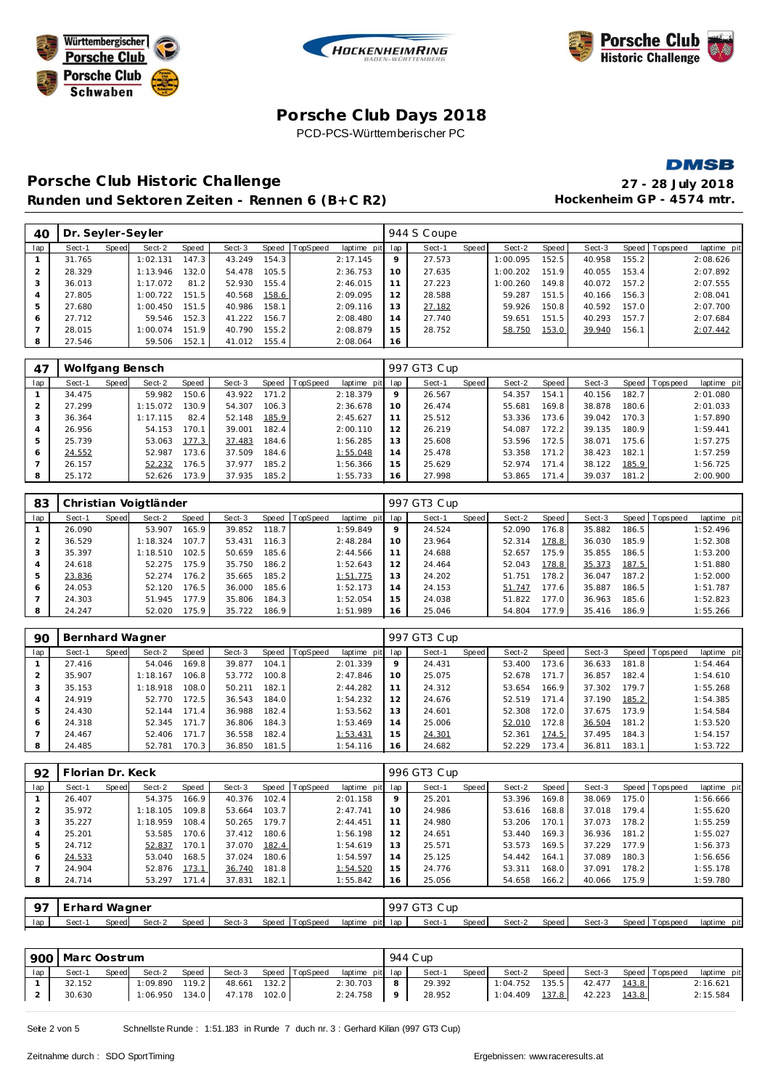





#### **Porsche C lub Days 2018** PCD-PCS-Württemberischer PC

**DMSB** 

# **Porsche C lub Historic Challenge 27 - 28 July 2018** Runden und Sektoren Zeiten - Rennen 6 (B+C R2) **Hockenheim GP** - 4574 mtr.

| 40  | Dr. Seyler-Seyler |       |          |       |        |       |          |                 |    | 944 S Coupe |       |          |                    |        |       |                 |             |
|-----|-------------------|-------|----------|-------|--------|-------|----------|-----------------|----|-------------|-------|----------|--------------------|--------|-------|-----------------|-------------|
| lap | Sect-1            | Speed | Sect-2   | Speed | Sect-3 | Speed | TopSpeed | laptime pit lap |    | Sect-1      | Speed | Sect-2   | Speed              | Sect-3 |       | Speed Tops peed | laptime pit |
|     | 31.765            |       | 1:02.131 | 147.3 | 43.249 | 154.3 |          | 2:17.145        | 9  | 27.573      |       | 1:00.095 | 152.5              | 40.958 | 155.2 |                 | 2:08.626    |
|     | 28.329            |       | 1:13.946 | 132.0 | 54.478 | 105.5 |          | 2:36.753        | 10 | 27.635      |       | 1:00.202 | 151.9              | 40.055 | 153.4 |                 | 2:07.892    |
|     | 36.013            |       | 1:17.072 | 81.2  | 52.930 | 155.4 |          | 2:46.015        | 11 | 27.223      |       | 1:00.260 | 149.8 <sub>1</sub> | 40.072 | 157.2 |                 | 2:07.555    |
|     | 27.805            |       | 1:00.722 | 151.5 | 40.568 | 158.6 |          | 2:09.095        | 12 | 28.588      |       | 59.287   | 151.5              | 40.166 | 156.3 |                 | 2:08.041    |
|     | 27.680            |       | 1:00.450 | 151.5 | 40.986 | 158.1 |          | 2:09.116        | 13 | 27.182      |       | 59.926   | 150.8              | 40.592 | 157.0 |                 | 2:07.700    |
| 6   | 27.712            |       | 59.546   | 152.3 | 41.222 | 156.7 |          | 2:08.480        | 14 | 27.740      |       | 59.651   | 151.5              | 40.293 | 157.7 |                 | 2:07.684    |
|     | 28.015            |       | 1:00.074 | 151.9 | 40.790 | 155.2 |          | 2:08.879        | 15 | 28.752      |       | 58.750   | 153.0              | 39.940 | 156.1 |                 | 2:07.442    |
|     | 27.546            |       | 59.506   | 152.1 | 41.012 | 155.4 |          | 2:08.064        | 16 |             |       |          |                    |        |       |                 |             |

| -47 | Wolfgang Bensch |       |          |       |        |       |                  |             |     | 997 GT3 Cup |       |        |       |        |       |                |             |
|-----|-----------------|-------|----------|-------|--------|-------|------------------|-------------|-----|-------------|-------|--------|-------|--------|-------|----------------|-------------|
| lap | Sect-1          | Speed | Sect-2   | Speed | Sect-3 |       | Speed   TopSpeed | laptime pit | lap | Sect-1      | Speed | Sect-2 | Speed | Sect-3 |       | Speed Topspeed | laptime pit |
|     | 34.475          |       | 59.982   | 150.6 | 43.922 | 171.2 |                  | 2:18.379    | 9   | 26.567      |       | 54.357 | 154.1 | 40.156 | 182.7 |                | 2:01.080    |
|     | 27.299          |       | 1:15.072 | 130.9 | 54.307 | 106.3 |                  | 2:36.678    | 10  | 26.474      |       | 55.681 | 169.8 | 38.878 | 180.6 |                | 2:01.033    |
| 3   | 36.364          |       | 1:17.115 | 82.4  | 52.148 | 185.9 |                  | 2:45.627    | 11  | 25.512      |       | 53.336 | 173.6 | 39.042 | 170.3 |                | 1:57.890    |
| 4   | 26.956          |       | 54.153   | 170.1 | 39.001 | 182.4 |                  | 2:00.110    | 12  | 26.219      |       | 54.087 | 172.2 | 39.135 | 180.9 |                | 1:59.441    |
| 5   | 25.739          |       | 53.063   | 177.3 | 37.483 | 184.6 |                  | 1:56.285    | 13  | 25.608      |       | 53.596 | 172.5 | 38.071 | 175.6 |                | 1:57.275    |
| 6   | 24.552          |       | 52.987   | 173.6 | 37.509 | 184.6 |                  | 1:55.048    | 14  | 25.478      |       | 53.358 | 171.2 | 38.423 | 182.1 |                | 1:57.259    |
|     | 26.157          |       | 52.232   | 176.5 | 37.977 | 185.2 |                  | 1:56.366    | 15  | 25.629      |       | 52.974 | 171.4 | 38.122 | 185.9 |                | 1:56.725    |
| 8   | 25.172          |       | 52.626   | 173.9 | 37.935 | 185.2 |                  | 1:55.733    | 16  | 27.998      |       | 53.865 | 171.4 | 39.037 | 181.2 |                | 2:00.900    |

| 83             |        |       | Christian Voigtländer |       |        |       |                |             |         | 997 GT3 Cup |       |        |       |        |       |                 |             |
|----------------|--------|-------|-----------------------|-------|--------|-------|----------------|-------------|---------|-------------|-------|--------|-------|--------|-------|-----------------|-------------|
| lap            | Sect-1 | Speed | Sect-2                | Speed | Sect-3 |       | Speed TopSpeed | laptime pit | lap     | Sect-1      | Speed | Sect-2 | Speed | Sect-3 |       | Speed Tops peed | laptime pit |
|                | 26.090 |       | 53.907                | 165.9 | 39.852 | 118.7 |                | 1:59.849    | $\circ$ | 24.524      |       | 52.090 | 176.8 | 35.882 | 186.5 |                 | 1:52.496    |
|                | 36.529 |       | 1:18.324              | 107.7 | 53.431 | 116.3 |                | 2:48.284    | 10      | 23.964      |       | 52.314 | 178.8 | 36.030 | 185.9 |                 | 1:52.308    |
| 3              | 35.397 |       | 1:18.510              | 102.5 | 50.659 | 185.6 |                | 2:44.566    | 11      | 24.688      |       | 52.657 | 175.9 | 35.855 | 186.5 |                 | 1:53.200    |
| $\overline{4}$ | 24.618 |       | 52.275                | 175.9 | 35.750 | 186.2 |                | 1:52.643    | 12      | 24.464      |       | 52.043 | 178.8 | 35.373 | 187.5 |                 | 1:51.880    |
| 5              | 23.836 |       | 52.274                | 176.2 | 35.665 | 185.2 |                | 1:51.775    | 13      | 24.202      |       | 51.751 | 178.2 | 36.047 | 187.2 |                 | 1:52.000    |
| 6              | 24.053 |       | 52.120                | 176.5 | 36.000 | 185.6 |                | 1:52.173    | 14      | 24.153      |       | 51.747 | 177.6 | 35.887 | 186.5 |                 | 1:51.787    |
|                | 24.303 |       | 51.945                | 177.9 | 35.806 | 184.3 |                | 1:52.054    | 15      | 24.038      |       | 51.822 | 177.0 | 36.963 | 185.6 |                 | 1:52.823    |
| 8              | 24.247 |       | 52.020                | 175.9 | 35.722 | 186.9 |                | 1:51.989    | 16      | 25.046      |       | 54.804 | 177.9 | 35.416 | 186.9 |                 | 1:55.266    |

| 90  | Bernhard Wagner |       |          |       |        |       |                |                 |    | 997 GT3 Cup |              |        |         |        |       |                 |             |
|-----|-----------------|-------|----------|-------|--------|-------|----------------|-----------------|----|-------------|--------------|--------|---------|--------|-------|-----------------|-------------|
| lap | Sect-1          | Speed | Sect-2   | Speed | Sect-3 |       | Speed TopSpeed | laptime pit lap |    | Sect-1      | <b>Speed</b> | Sect-2 | Speed I | Sect-3 |       | Speed Tops peed | laptime pit |
|     | 27.416          |       | 54.046   | 169.8 | 39.877 | 104.1 |                | 2:01.339        | 9  | 24.431      |              | 53.400 | 173.6   | 36.633 | 181.8 |                 | 1:54.464    |
|     | 35.907          |       | 1:18.167 | 106.8 | 53.772 | 100.8 |                | 2:47.846        | 10 | 25.075      |              | 52.678 | 171.7   | 36.857 | 182.4 |                 | 1:54.610    |
|     | 35.153          |       | 1:18.918 | 108.0 | 50.211 | 182.1 |                | 2:44.282        | 11 | 24.312      |              | 53.654 | 166.9   | 37.302 | 179.7 |                 | 1:55.268    |
|     | 24.919          |       | 52.770   | 172.5 | 36.543 | 184.0 |                | 1:54.232        | 12 | 24.676      |              | 52.519 | 171.4   | 37.190 | 185.2 |                 | 1:54.385    |
| 5   | 24.430          |       | 52.144   | 171.4 | 36.988 | 182.4 |                | 1:53.562        | 13 | 24.601      |              | 52.308 | 172.0   | 37.675 | 173.9 |                 | 1:54.584    |
| 6   | 24.318          |       | 52.345   | 171.7 | 36.806 | 184.3 |                | 1:53.469        | 14 | 25.006      |              | 52.010 | 172.8   | 36.504 | 181.2 |                 | 1:53.520    |
|     | 24.467          |       | 52.406   | 171.7 | 36.558 | 182.4 |                | 1:53.431        | 15 | 24.301      |              | 52.361 | 174.5   | 37.495 | 184.3 |                 | 1:54.157    |
| 8   | 24.485          |       | 52.781   | 170.3 | 36.850 | 181.5 |                | 1:54.116        | 16 | 24.682      |              | 52.229 | 173.4   | 36.811 | 183.1 |                 | 1:53.722    |

| 92  | Florian Dr. Keck |       |          |       |        |       |                |                 |    | 996 GT3 Cup |       |        |       |        |       |                   |             |
|-----|------------------|-------|----------|-------|--------|-------|----------------|-----------------|----|-------------|-------|--------|-------|--------|-------|-------------------|-------------|
| lap | Sect-1           | Speed | Sect-2   | Speed | Sect-3 |       | Speed TopSpeed | laptime pit lap |    | Sect-1      | Speed | Sect-2 | Speed | Sect-3 |       | Speed   Tops peed | laptime pit |
|     | 26.407           |       | 54.375   | 166.9 | 40.376 | 102.4 |                | 2:01.158        | 9  | 25.201      |       | 53.396 | 169.8 | 38.069 | 175.0 |                   | 1:56.666    |
|     | 35.972           |       | 1:18.105 | 109.8 | 53.664 | 103.7 |                | 2:47.741        | 10 | 24.986      |       | 53.616 | 168.8 | 37.018 | 179.4 |                   | 1:55.620    |
| 3   | 35.227           |       | 1:18.959 | 108.4 | 50.265 | 179.7 |                | 2: 44.451       | 11 | 24.980      |       | 53.206 | 170.1 | 37.073 | 178.2 |                   | 1:55.259    |
|     | 25.201           |       | 53.585   | 170.6 | 37.412 | 180.6 |                | 1:56.198        | 12 | 24.651      |       | 53.440 | 169.3 | 36.936 | 181.2 |                   | 1:55.027    |
| 5   | 24.712           |       | 52.837   | 170.1 | 37.070 | 182.4 |                | 1:54.619        | 13 | 25.571      |       | 53.573 | 169.5 | 37.229 | 177.9 |                   | 1:56.373    |
| 6   | 24.533           |       | 53.040   | 168.5 | 37.024 | 180.6 |                | 1:54.597        | 14 | 25.125      |       | 54.442 | 164.1 | 37.089 | 180.3 |                   | 1:56.656    |
|     | 24.904           |       | 52.876   | 173.1 | 36.740 | 181.8 |                | 1:54.520        | 15 | 24.776      |       | 53.311 | 168.0 | 37.091 | 178.2 |                   | 1:55.178    |
| 8   | 24.714           |       | 53.297   | 171.4 | 37.831 | 182.1 |                | 1:55.842        | 16 | 25.056      |       | 54.658 | 166.2 | 40.066 | 175.9 |                   | 1:59.780    |
|     |                  |       |          |       |        |       |                |                 |    |             |       |        |       |        |       |                   |             |

|     | 97 Erhard Wagner |       |        |         |        |                |                 | 997 GT3 Cup |       |        |       |        |                 |                |
|-----|------------------|-------|--------|---------|--------|----------------|-----------------|-------------|-------|--------|-------|--------|-----------------|----------------|
| lap | Sect-1           | Speed | Sect-2 | Speed 1 | Sect-3 | Speed TopSpeed | laptime pit lap | Sect-       | Speed | Sect-2 | Speed | Sect-3 | Speed Tops peed | pit<br>laptime |

|     | 900   Marc Oostrum |       |                  |       |        |       |                |                 |   | 944 C up |       |                |         |              |       |                       |             |
|-----|--------------------|-------|------------------|-------|--------|-------|----------------|-----------------|---|----------|-------|----------------|---------|--------------|-------|-----------------------|-------------|
| lap | Sect-1             | Speed | Sect-2           | Speed | Sect-3 |       | Speed TopSpeed | laptime pit lap |   | Sect-1   | Speed | Sect-2         | Speed I |              |       | Sect-3 Speed Topspeed | laptime pit |
|     | 32.152             |       | $1:09.890$ 119.2 |       | 48.661 | 132.2 |                | 2:30.703        | 8 | 29.392   |       | 1:04.752       | 135.5   | 42.477 143.8 |       |                       | 2:16.621    |
|     | 30.630             |       | $1:06.950$ 134.0 |       | 47.178 | 102.0 |                | 2:24.758        | 9 | 28.952   |       | 1:04.409 137.8 |         | 42.223       | 143.8 |                       | 2:15.584    |

Seite 2 von 5 Schnellste Runde : 1:51.183 in Runde 7 duch nr. 3 : Gerhard Kilian (997 GT3 Cup)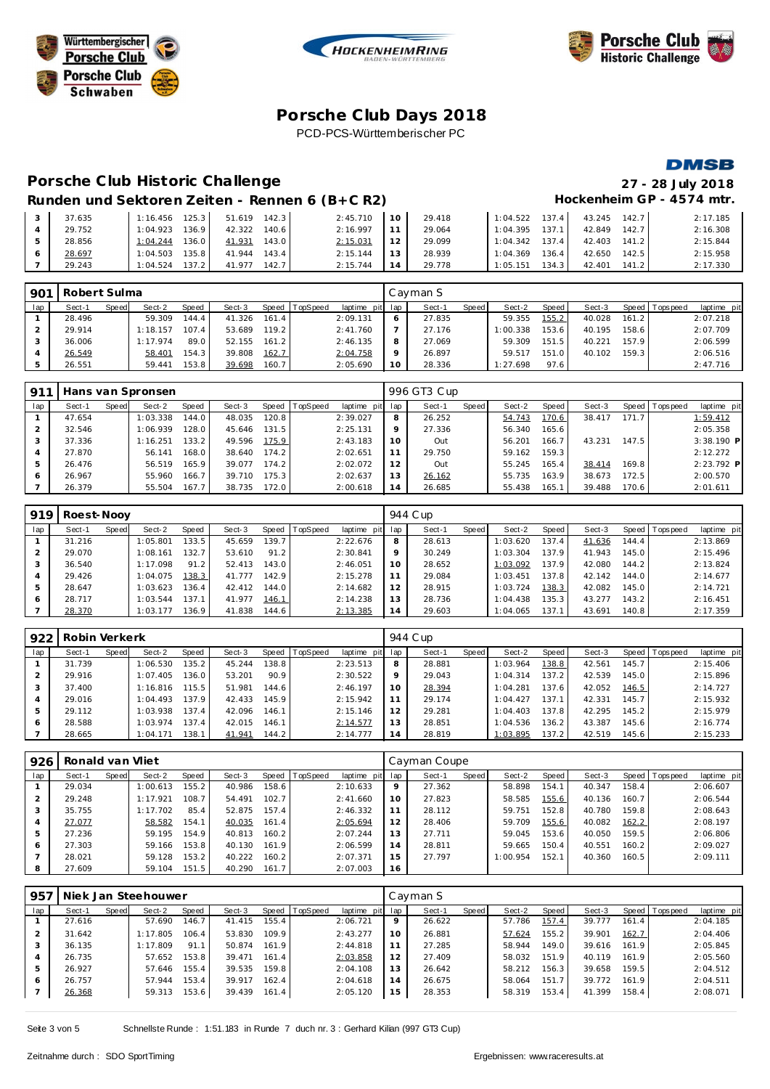





**DMSB** 

## **Porsche C lub Days 2018** PCD-PCS-Württemberischer PC

# **Porsche C lub Historic Challenge 27 - 28 July 2018**

# Runden und Sektoren Zeiten - Rennen 6 (B+C R2) Hockenheim GP - 4574 mtr.

| 37.635 | $1:16.456$ 125.3      | 51.619 142.3    | 2:45.710 | 10 <sup>1</sup> | 29.418 | 137.4<br>1:04.522  | 43.245 142.7      | 2:17.185 |
|--------|-----------------------|-----------------|----------|-----------------|--------|--------------------|-------------------|----------|
| 29.752 | 1:04.923<br>136.9     | 42.322<br>140.6 | 2:16.997 |                 | 29.064 | 137.1<br>1:04.395  | 42.849 142.7      | 2:16.308 |
| 28.856 | 136.0<br>1:04.244     | 41.931<br>143.0 | 2:15.031 | 12 <sup>1</sup> | 29.099 | 1:04.342<br>137.4  | 42.403 141.2      | 2:15.844 |
| 28.697 | 135.8<br>1:04.503     | 41.944<br>143.4 | 2:15.144 | 13 <sup>1</sup> | 28.939 | 1:04.369<br>136.4  | 42.650 142.5      | 2:15.958 |
| 29.243 | $137.2$  <br>1:04.524 | 142.7<br>41.977 | 2:15.744 |                 | 29.778 | 1:05.151<br>134.31 | 42.401<br>$141.2$ | 2:17.330 |

| 901 | Robert Sulma |       |          |       |        |       |                |                 |         | Cayman S |       |          |       |        |       |                |             |
|-----|--------------|-------|----------|-------|--------|-------|----------------|-----------------|---------|----------|-------|----------|-------|--------|-------|----------------|-------------|
| lap | Sect-1       | Speed | Sect-2   | Speed | Sect-3 |       | Speed TopSpeed | laptime pit lap |         | Sect-1   | Speed | Sect-2   | Speed | Sect-3 |       | Speed Topspeed | laptime pit |
|     | 28.496       |       | 59.309   | 144.4 | 41.326 | 161.4 |                | 2:09.131        |         | 27.835   |       | 59.355   | 155.2 | 40.028 | 161.2 |                | 2:07.218    |
|     | 29.914       |       | 1:18.157 | 107.4 | 53.689 | 119.2 |                | 2:41.760        |         | 27.176   |       | 1:00.338 | 153.6 | 40.195 | 158.6 |                | 2:07.709    |
|     | 36.006       |       | 1:17.974 | 89.0  | 52.155 | 161.2 |                | 2:46.135        |         | 27.069   |       | 59.309   | 151.5 | 40.221 | 157.9 |                | 2:06.599    |
|     | 26.549       |       | 58.401   | 154.3 | 39.808 | 162.7 |                | 2:04.758        | $\circ$ | 26.897   |       | 59.517   | 151.0 | 40.102 | 159.3 |                | 2:06.516    |
|     | 26.551       |       | 59.441   | 153.8 | 39.698 | 160.7 |                | 2:05.690        | 10      | 28.336   |       | 1:27.698 | 97.6  |        |       |                | 2:47.716    |

| 911 |        |       | Hans van Spronsen |       |        |       |                 |                 |         | 996 GT3 Cup |       |        |                    |        |       |                 |              |
|-----|--------|-------|-------------------|-------|--------|-------|-----------------|-----------------|---------|-------------|-------|--------|--------------------|--------|-------|-----------------|--------------|
| lap | Sect-1 | Speed | Sect-2            | Speed | Sect-3 | Speed | <b>TopSpeed</b> | laptime pit lap |         | Sect-1      | Speed | Sect-2 | Speed              | Sect-3 |       | Speed Tops peed | laptime pit  |
|     | 47.654 |       | 1:03.338          | 144.0 | 48.035 | 120.8 |                 | 2:39.027        | 8       | 26.252      |       | 54.743 | 170.6              | 38.417 | 171.7 |                 | 1:59.412     |
|     | 32.546 |       | 1:06.939          | 128.0 | 45.646 | 131.5 |                 | 2:25.131        | $\circ$ | 27.336      |       | 56.340 | 165.6              |        |       |                 | 2:05.358     |
|     | 37.336 |       | 1:16.251          | 133.2 | 49.596 | 175.9 |                 | 2:43.183        | 10      | Out         |       | 56.201 | 166.7              | 43.231 | 147.5 |                 | $3:38.190$ P |
|     | 27.870 |       | 56.141            | 168.0 | 38.640 | 174.2 |                 | 2:02.651        |         | 29.750      |       | 59.162 | 159.3              |        |       |                 | 2:12.272     |
|     | 26.476 |       | 56.519            | 165.9 | 39.077 | 174.2 |                 | 2:02.072        | 12      | Out         |       | 55.245 | 165.4 <sub>1</sub> | 38.414 | 169.8 |                 | $2:23.792$ P |
|     | 26.967 |       | 55.960            | 166.7 | 39.710 | 175.3 |                 | 2:02.637        | 13      | 26.162      |       | 55.735 | 163.9              | 38.673 | 172.5 |                 | 2:00.570     |
|     | 26.379 |       | 55.504            | 167.7 | 38.735 | 172.0 |                 | 2:00.618        | 14      | 26.685      |       | 55.438 | 165.1              | 39.488 | 170.6 |                 | 2:01.611     |

| 919 | Roest-Nooy |       |          |       |        |       |          |                 |         | 944 C up |       |          |       |        |                  |                |             |
|-----|------------|-------|----------|-------|--------|-------|----------|-----------------|---------|----------|-------|----------|-------|--------|------------------|----------------|-------------|
| lap | Sect-1     | Speed | Sect-2   | Speed | Sect-3 | Speed | TopSpeed | laptime pit lap |         | Sect-1   | Speed | Sect-2   | Speed | Sect-3 |                  | Speed Topspeed | laptime pit |
|     | 31.216     |       | 1:05.801 | 133.5 | 45.659 | 139.7 |          | 2:22.676        | 8       | 28.613   |       | 1:03.620 | 137.4 | 41.636 | 144.4            |                | 2:13.869    |
|     | 29.070     |       | 1:08.161 | 132.7 | 53.610 | 91.2  |          | 2:30.841        | $\circ$ | 30.249   |       | 1:03.304 | 137.9 | 41.943 | 145.0            |                | 2:15.496    |
| 3   | 36.540     |       | 1:17.098 | 91.2  | 52.413 | 143.0 |          | 2:46.051        | 10      | 28.652   |       | 1:03.092 | 137.9 | 42.080 | 144.2            |                | 2:13.824    |
| 4   | 29.426     |       | 1:04.075 | 138.3 | 41.777 | 142.9 |          | 2:15.278        | 11      | 29.084   |       | 1:03.451 | 137.8 | 42.142 | $144.0 \text{ }$ |                | 2:14.677    |
| 5   | 28.647     |       | 1:03.623 | 136.4 | 42.412 | 144.0 |          | 2:14.682        | 12      | 28.915   |       | 1:03.724 | 138.3 | 42.082 | 145.0            |                | 2:14.721    |
| 6   | 28.717     |       | 1:03.544 | 137.1 | 41.977 | 146.1 |          | 2:14.238        | 13      | 28.736   |       | 1:04.438 | 135.3 | 43.277 | 143.2            |                | 2:16.451    |
|     | 28.370     |       | 1:03.177 | 136.9 | 41.838 | 144.6 |          | 2:13.385        | 14      | 29.603   |       | 1:04.065 | 137.1 | 43.691 | 140.8            |                | 2:17.359    |

| 922 | Robin Verkerk |       |          |                    |        |                    |          |                 |     | 944 C up |       |          |       |        |       |                |             |
|-----|---------------|-------|----------|--------------------|--------|--------------------|----------|-----------------|-----|----------|-------|----------|-------|--------|-------|----------------|-------------|
| lap | Sect-1        | Speed | Sect-2   | Speed              | Sect-3 | Speed              | TopSpeed | laptime pit lap |     | Sect-1   | Speed | Sect-2   | Speed | Sect-3 |       | Speed Topspeed | laptime pit |
|     | 31.739        |       | 1:06.530 | 135.2              | 45.244 | 138.8              |          | 2:23.513        | 8   | 28.881   |       | 1:03.964 | 138.8 | 42.561 | 145.7 |                | 2:15.406    |
|     | 29.916        |       | 1:07.405 | 136.0              | 53.201 | 90.9               |          | 2:30.522        | 9   | 29.043   |       | 1:04.314 | 137.2 | 42.539 | 145.0 |                | 2:15.896    |
|     | 37.400        |       | 1:16.816 | 115.5              | 51.981 | 144.6              |          | 2:46.197        | 10  | 28.394   |       | 1:04.281 | 137.6 | 42.052 | 146.5 |                | 2:14.727    |
|     | 29.016        |       | 1:04.493 | 137.9              | 42.433 | 145.9              |          | 2:15.942        |     | 29.174   |       | 1:04.427 | 137.1 | 42.331 | 145.7 |                | 2:15.932    |
|     | 29.112        |       | 1:03.938 | 137.4              | 42.096 | 146.1              |          | 2:15.146        | 12  | 29.281   |       | 1:04.403 | 137.8 | 42.295 | 145.2 |                | 2:15.979    |
| 6   | 28.588        |       | 1:03.974 | 137.4 <sub>1</sub> | 42.015 | 146.1              |          | 2:14.577        | 13  | 28.851   |       | 1:04.536 | 136.2 | 43.387 | 145.6 |                | 2:16.774    |
|     | 28.665        |       | 1:04.171 | 138.1              | 41.941 | 144.2 <sub>1</sub> |          | 2:14.777        | í 4 | 28.819   |       | 1:03.895 | 137.2 | 42.519 | 145.6 |                | 2:15.233    |

| 926 | Ronald van Vliet |       |          |       |        |       |                  |             |         | Cayman Coupe |       |          |       |        |       |                 |             |
|-----|------------------|-------|----------|-------|--------|-------|------------------|-------------|---------|--------------|-------|----------|-------|--------|-------|-----------------|-------------|
| lap | Sect-1           | Speed | Sect-2   | Speed | Sect-3 |       | Speed   TopSpeed | laptime pit | lap     | Sect-1       | Speed | Sect-2   | Speed | Sect-3 |       | Speed Tops peed | laptime pit |
|     | 29.034           |       | 1:00.613 | 155.2 | 40.986 | 158.6 |                  | 2:10.633    | $\circ$ | 27.362       |       | 58.898   | 154.1 | 40.347 | 158.4 |                 | 2:06.607    |
|     | 29.248           |       | 1:17.921 | 108.7 | 54.491 | 102.7 |                  | 2:41.660    | 10      | 27.823       |       | 58.585   | 155.6 | 40.136 | 160.7 |                 | 2:06.544    |
| 3   | 35.755           |       | 1:17.702 | 85.4  | 52.875 | 157.4 |                  | 2:46.332    |         | 28.112       |       | 59.751   | 152.8 | 40.780 | 159.8 |                 | 2:08.643    |
| 4   | 27.077           |       | 58.582   | 154.1 | 40.035 | 161.4 |                  | 2:05.694    | 12      | 28.406       |       | 59.709   | 155.6 | 40.082 | 162.2 |                 | 2:08.197    |
| 5   | 27.236           |       | 59.195   | 154.9 | 40.813 | 160.2 |                  | 2:07.244    | 13      | 27.711       |       | 59.045   | 153.6 | 40.050 | 159.5 |                 | 2:06.806    |
| 6   | 27.303           |       | 59.166   | 153.8 | 40.130 | 161.9 |                  | 2:06.599    | 14      | 28.811       |       | 59.665   | 150.4 | 40.551 | 160.2 |                 | 2:09.027    |
|     | 28.021           |       | 59.128   | 153.2 | 40.222 | 160.2 |                  | 2:07.371    | 15      | 27.797       |       | 1:00.954 | 152.1 | 40.360 | 160.5 |                 | 2:09.111    |
| 8   | 27.609           |       | 59.104   | 151.5 | 40.290 | 161.7 |                  | 2:07.003    | 16      |              |       |          |       |        |       |                 |             |

| 957 |        |       | Niek Jan Steehouwer |       |        |       |                |             |     | Cavman S |       |        |       |        |       |                |             |
|-----|--------|-------|---------------------|-------|--------|-------|----------------|-------------|-----|----------|-------|--------|-------|--------|-------|----------------|-------------|
| lap | Sect-1 | Speed | Sect-2              | Speed | Sect-3 |       | Speed TopSpeed | laptime pit | lap | Sect-1   | Speed | Sect-2 | Speed | Sect-3 |       | Speed Topspeed | laptime pit |
|     | 27.616 |       | 57.690              | 146.7 | 41.415 | 155.4 |                | 2:06.721    | 9   | 26.622   |       | 57.786 | 157.4 | 39.777 | 161.4 |                | 2:04.185    |
|     | 31.642 |       | 1:17.805            | 106.4 | 53.830 | 109.9 |                | 2:43.277    | 10  | 26.881   |       | 57.624 | 155.2 | 39.901 | 162.7 |                | 2:04.406    |
| 3   | 36.135 |       | 1:17.809            | 91.1  | 50.874 | 161.9 |                | 2:44.818    | 11  | 27.285   |       | 58.944 | 149.0 | 39.616 | 161.9 |                | 2:05.845    |
| 4   | 26.735 |       | 57.652              | 153.8 | 39.471 | 161.4 |                | 2:03.858    | 12  | 27.409   |       | 58.032 | 151.9 | 40.119 | 161.9 |                | 2:05.560    |
| 5   | 26.927 |       | 57.646              | 155.4 | 39.535 | 159.8 |                | 2:04.108    | 13  | 26.642   |       | 58.212 | 156.3 | 39.658 | 159.5 |                | 2:04.512    |
| O   | 26.757 |       | 57.944              | 153.4 | 39.917 | 162.4 |                | 2:04.618    | 14  | 26.675   |       | 58.064 | 151.7 | 39.772 | 161.9 |                | 2:04.511    |
|     | 26.368 |       | 59.313              | 153.6 | 39.439 | 161.4 |                | 2:05.120    | 15  | 28.353   |       | 58.319 | 153.4 | 41.399 | 158.4 |                | 2:08.071    |
|     |        |       |                     |       |        |       |                |             |     |          |       |        |       |        |       |                |             |

Seite 3 von 5 Schnellste Runde : 1:51.183 in Runde 7 duch nr. 3 : Gerhard Kilian (997 GT3 Cup)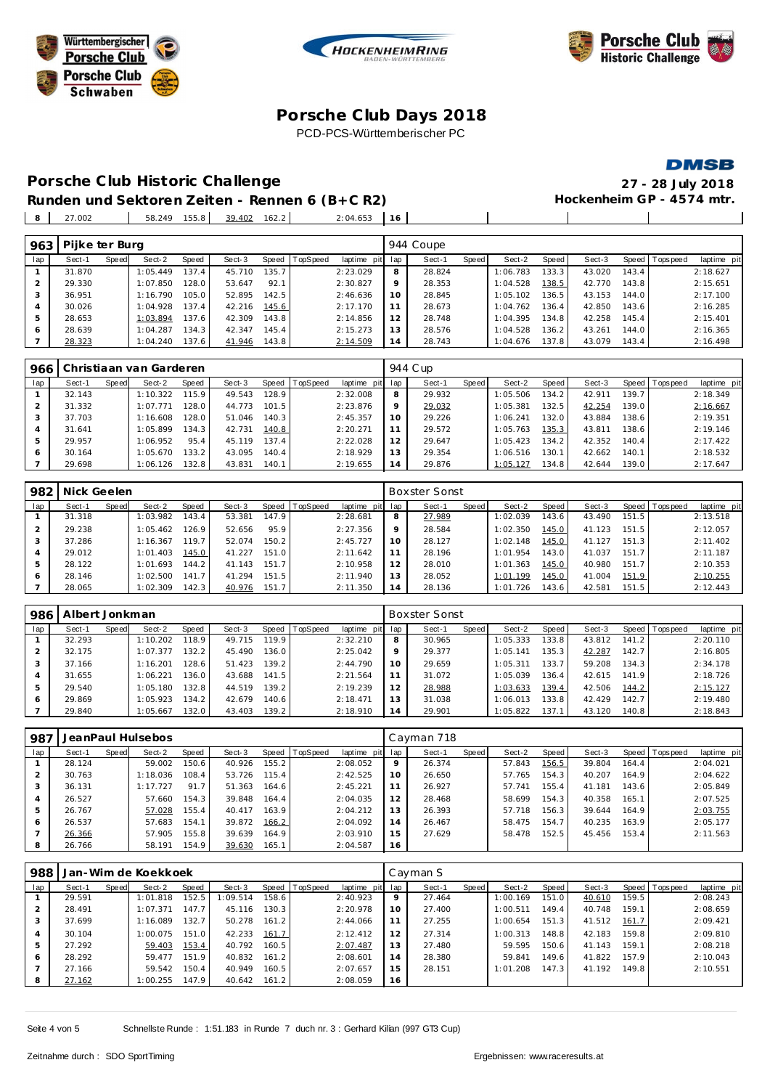





 $\overline{\phantom{a}}$ 

 $\overline{\phantom{a}}$ 

## **Porsche C lub Days 2018** PCD-PCS-Württemberischer PC

**Porsche C lub Historic Challenge 27 - 28 July 2018** Runden und Sektoren Zeiten - Rennen 6 (B+C R2)

27.002 58.249 155.8 39.402 162.2 2:04.653 **16**

| 963 | Pijke ter Burg |       |          |       |        |       |          |                 |         | 944 Coupe |       |          |       |        |       |                |             |
|-----|----------------|-------|----------|-------|--------|-------|----------|-----------------|---------|-----------|-------|----------|-------|--------|-------|----------------|-------------|
| lap | Sect-1         | Speed | Sect-2   | Speed | Sect-3 | Speed | TopSpeed | laptime pit lap |         | Sect-1    | Speed | Sect-2   | Speed | Sect-3 |       | Speed Topspeed | laptime pit |
|     | 31.870         |       | 1:05.449 | 137.4 | 45.710 | 135.7 |          | 2:23.029        | 8       | 28.824    |       | 1:06.783 | 133.3 | 43.020 | 143.4 |                | 2:18.627    |
|     | 29.330         |       | 1:07.850 | 28.0  | 53.647 | 92.1  |          | 2:30.827        | $\circ$ | 28.353    |       | 1:04.528 | 138.5 | 42.770 | 143.8 |                | 2:15.651    |
|     | 36.951         |       | 1:16.790 | 105.0 | 52.895 | 142.5 |          | 2:46.636        | 10      | 28.845    |       | 1:05.102 | 136.5 | 43.153 | 144.0 |                | 2:17.100    |
| 4   | 30.026         |       | 1:04.928 | 37.4  | 42.216 | 145.6 |          | 2:17.170        | A       | 28.673    |       | 1:04.762 | 136.4 | 42.850 | 143.6 |                | 2:16.285    |
| 5   | 28.653         |       | 1:03.894 | 137.6 | 42.309 | 143.8 |          | 2:14.856        | 12      | 28.748    |       | 1:04.395 | 134.8 | 42.258 | 145.4 |                | 2:15.401    |
| 6   | 28.639         |       | 1:04.287 | 134.3 | 42.347 | 145.4 |          | 2:15.273        | 13      | 28.576    |       | 1:04.528 | 136.2 | 43.261 | 144.0 |                | 2:16.365    |
|     | 28.323         |       | 1:04.240 | 137.6 | 41.946 | 143.8 |          | 2:14.509        | 14      | 28.743    |       | 1:04.676 | 137.8 | 43.079 | 143.4 |                | 2:16.498    |

| 966 |        |       | Christiaan van Garderen |       |        |       |          |                 |                 | 944 C up |         |          |       |        |         |                 |             |
|-----|--------|-------|-------------------------|-------|--------|-------|----------|-----------------|-----------------|----------|---------|----------|-------|--------|---------|-----------------|-------------|
| lap | Sect-1 | Speed | Sect-2                  | Speed | Sect-3 | Speed | TopSpeed | laptime pit lap |                 | Sect-1   | Speed I | Sect-2   | Speed | Sect-3 |         | Speed Tops peed | laptime pit |
|     | 32.143 |       | 1:10.322                | 115.9 | 49.543 | 128.9 |          | 2:32.008        | 8               | 29.932   |         | 1:05.506 | 134.2 | 42.911 | 139.7   |                 | 2:18.349    |
|     | 31.332 |       | 1:07.771                | 128.0 | 44.773 | 101.5 |          | 2:23.876        | $\circ$         | 29.032   |         | 1:05.381 | 132.5 | 42.254 | 139.O I |                 | 2:16.667    |
| 3   | 37.703 |       | 1:16.608                | 128.0 | 51.046 | 140.3 |          | 2:45.357        | 10              | 29.226   |         | 1:06.241 | 132.0 | 43.884 | 138.6   |                 | 2:19.351    |
| 4   | 31.641 |       | 1:05.899                | 134.3 | 42.731 | 140.8 |          | 2:20.271        |                 | 29.572   |         | 1:05.763 | 135.3 | 43.811 | 138.6   |                 | 2:19.146    |
| .5  | 29.957 |       | 1:06.952                | 95.4  | 45.119 | 137.4 |          | 2:22.028        | 12              | 29.647   |         | 1:05.423 | 134.2 | 42.352 | 140.4   |                 | 2:17.422    |
| 6   | 30.164 |       | 1:05.670                | 133.2 | 43.095 | 140.4 |          | 2:18.929        | 13 <sup>7</sup> | 29.354   |         | 1:06.516 | 130.1 | 42.662 | 140.1   |                 | 2:18.532    |
|     | 29.698 |       | 1:06.126                | 132.8 | 43.831 | 140.1 |          | 2:19.655        | $\overline{4}$  | 29.876   |         | 1:05.127 | 134.8 | 42.644 | 139.0   |                 | 2:17.647    |

| 982 | Nick Geelen |       |          |       |        |       |                  |                 |     | <b>Boxster Sonst</b> |       |          |       |        |       |                 |             |
|-----|-------------|-------|----------|-------|--------|-------|------------------|-----------------|-----|----------------------|-------|----------|-------|--------|-------|-----------------|-------------|
| lap | Sect-1      | Speed | Sect-2   | Speed | Sect-3 |       | Speed   TopSpeed | laptime pit lap |     | Sect-1               | Speed | Sect-2   | Speed | Sect-3 |       | Speed Tops peed | laptime pit |
|     | 31.318      |       | 1:03.982 | 143.4 | 53.381 | 147.9 |                  | 2:28.681        | 8   | 27.989               |       | 1:02.039 | 143.6 | 43.490 | 151.5 |                 | 2:13.518    |
|     | 29.238      |       | 1:05.462 | 126.9 | 52.656 | 95.9  |                  | 2:27.356        | 9   | 28.584               |       | 1:02.350 | 145.0 | 41.123 | 151.5 |                 | 2:12.057    |
|     | 37.286      |       | 1:16.367 | 119.7 | 52.074 | 150.2 |                  | 2:45.727        | 10  | 28.127               |       | 1:02.148 | 145.0 | 41.127 | 151.3 |                 | 2:11.402    |
| 4   | 29.012      |       | 1:01.403 | 145.0 | 41.227 | 151.0 |                  | 2:11.642        | 11  | 28.196               |       | 1:01.954 | 143.0 | 41.037 | 151.7 |                 | 2:11.187    |
| 5   | 28.122      |       | 1:01.693 | 144.2 | 41.143 | 151.7 |                  | 2:10.958        | 12  | 28.010               |       | 1:01.363 | 145.0 | 40.980 | 151.7 |                 | 2:10.353    |
| 6   | 28.146      |       | 1:02.500 | 141.7 | 41.294 | 151.5 |                  | 2:11.940        | 13  | 28.052               |       | 1:01.199 | 145.0 | 41.004 | 151.9 |                 | 2:10.255    |
|     | 28.065      |       | 1:02.309 | 142.3 | 40.976 | 151.7 |                  | 2:11.350        | i 4 | 28.136               |       | 1:01.726 | 143.6 | 42.581 | 151.5 |                 | 2:12.443    |

| 986 | Albert Jonkman |       |          |       |        |       |                |                 |                | <b>Boxster Sonst</b> |       |          |         |        |       |                 |             |
|-----|----------------|-------|----------|-------|--------|-------|----------------|-----------------|----------------|----------------------|-------|----------|---------|--------|-------|-----------------|-------------|
| lap | Sect-1         | Speed | Sect-2   | Speed | Sect-3 |       | Speed TopSpeed | laptime pit lap |                | Sect-1               | Speed | Sect-2   | Speed ! | Sect-3 |       | Speed Tops peed | laptime pit |
|     | 32.293         |       | 1:10.202 | 118.9 | 49.715 | 119.9 |                | 2:32.210        | 8              | 30.965               |       | 1:05.333 | 133.8   | 43.812 | 141.2 |                 | 2:20.110    |
|     | 32.175         |       | 1:07.377 | 132.2 | 45.490 | 136.0 |                | 2:25.042        | $\circ$        | 29.377               |       | 1:05.141 | 135.3   | 42.287 | 142.7 |                 | 2:16.805    |
| 3   | 37.166         |       | 1:16.201 | 128.6 | 51.423 | 139.2 |                | 2:44.790        | 10             | 29.659               |       | 1:05.311 | 133.7   | 59.208 | 134.3 |                 | 2:34.178    |
|     | 31.655         |       | 1:06.221 | 136.0 | 43.688 | 141.5 |                | 2:21.564        |                | 31.072               |       | 1:05.039 | 136.4   | 42.615 | 141.9 |                 | 2:18.726    |
| 5   | 29.540         |       | 1:05.180 | 132.8 | 44.519 | 139.2 |                | 2:19.239        | 12             | 28.988               |       | 1:03.633 | 139.4   | 42.506 | 144.2 |                 | 2:15.127    |
| 6   | 29.869         |       | 1:05.923 | 134.2 | 42.679 | 140.6 |                | 2:18.471        | 13             | 31.038               |       | 1:06.013 | 133.8   | 42.429 | 142.7 |                 | 2:19.480    |
|     | 29.840         |       | 1:05.667 | 132.0 | 43.403 | 139.2 |                | 2:18.910        | $\overline{4}$ | 29.901               |       | 1:05.822 | 137.1   | 43.120 | 140.8 |                 | 2:18.843    |

| 987 | JeanPaul Hulsebos |       |          |       |        |       |                |             |     | Cayman 718 |         |        |       |        |       |                |             |  |  |  |
|-----|-------------------|-------|----------|-------|--------|-------|----------------|-------------|-----|------------|---------|--------|-------|--------|-------|----------------|-------------|--|--|--|
| lap | Sect-1            | Speed | Sect-2   | Speed | Sect-3 |       | Speed TopSpeed | laptime pit | lap | Sect-1     | Speed I | Sect-2 | Speed | Sect-3 |       | Speed Topspeed | laptime pit |  |  |  |
|     | 28.124            |       | 59.002   | 150.6 | 40.926 | 155.2 |                | 2:08.052    | 9   | 26.374     |         | 57.843 | 156.5 | 39.804 | 164.4 |                | 2:04.021    |  |  |  |
| 2   | 30.763            |       | 1:18.036 | 108.4 | 53.726 | 115.4 |                | 2:42.525    | 10  | 26.650     |         | 57.765 | 154.3 | 40.207 | 164.9 |                | 2:04.622    |  |  |  |
| 3   | 36.131            |       | 1:17.727 | 91.7  | 51.363 | 164.6 |                | 2:45.221    | 11  | 26.927     |         | 57.741 | 155.4 | 41.181 | 143.6 |                | 2:05.849    |  |  |  |
| 4   | 26.527            |       | 57.660   | 154.3 | 39.848 | 164.4 |                | 2:04.035    | 12  | 28.468     |         | 58.699 | 154.3 | 40.358 | 165.1 |                | 2:07.525    |  |  |  |
| 5   | 26.767            |       | 57.028   | 155.4 | 40.417 | 163.9 |                | 2:04.212    | 13  | 26.393     |         | 57.718 | 156.3 | 39.644 | 164.9 |                | 2:03.755    |  |  |  |
| 6   | 26.537            |       | 57.683   | 154.1 | 39.872 | 166.2 |                | 2:04.092    | 14  | 26.467     |         | 58.475 | 154.7 | 40.235 | 163.9 |                | 2:05.177    |  |  |  |
|     | 26.366            |       | 57.905   | 155.8 | 39.639 | 164.9 |                | 2:03.910    | 15  | 27.629     |         | 58.478 | 152.5 | 45.456 | 153.4 |                | 2:11.563    |  |  |  |
| 8   | 26.766            |       | 58.191   | 154.9 | 39.630 | 165.1 |                | 2:04.587    | 16  |            |         |        |       |        |       |                |             |  |  |  |

| 988 | Jan-Wim de Koekkoek |       |          |       |          |       |                |                 |         | Cayman S |         |          |       |        |        |                |             |  |  |  |
|-----|---------------------|-------|----------|-------|----------|-------|----------------|-----------------|---------|----------|---------|----------|-------|--------|--------|----------------|-------------|--|--|--|
| lap | Sect-1              | Speed | Sect-2   | Speed | Sect-3   |       | Speed TopSpeed | laptime pit lap |         | Sect-1   | Speed I | Sect-2   | Speed | Sect-3 |        | Speed Topspeed | laptime pit |  |  |  |
|     | 29.591              |       | 1:01.818 | 152.5 | 1:09.514 | 158.6 |                | 2:40.923        | $\circ$ | 27.464   |         | 1:00.169 | 151.0 | 40.610 | 159.5  |                | 2:08.243    |  |  |  |
|     | 28.491              |       | 1:07.371 | 147.7 | 45.116   | 130.3 |                | 2:20.978        | 10      | 27.400   |         | 1:00.511 | 149.4 | 40.748 | 159.1  |                | 2:08.659    |  |  |  |
| 3   | 37.699              |       | 1:16.089 | 132.7 | 50.278   | 161.2 |                | 2:44.066        | 11      | 27.255   |         | 1:00.654 | 151.3 | 41.512 | 161.7  |                | 2:09.421    |  |  |  |
| 4   | 30.104              |       | 1:00.075 | 151.0 | 42.233   | 161.7 |                | 2:12.412        | 12      | 27.314   |         | 1:00.313 | 148.8 | 42.183 | 159.8  |                | 2:09.810    |  |  |  |
| 5   | 27.292              |       | 59.403   | 153.4 | 40.792   | 160.5 |                | 2:07.487        | 13      | 27.480   |         | 59.595   | 150.6 | 41.143 | 159.1  |                | 2:08.218    |  |  |  |
| 6   | 28.292              |       | 59.477   | 151.9 | 40.832   | 161.2 |                | 2:08.601        | 14      | 28.380   |         | 59.841   | 149.6 | 41.822 | 157.9  |                | 2:10.043    |  |  |  |
|     | 27.166              |       | 59.542   | 150.4 | 40.949   | 160.5 |                | 2:07.657        | 15      | 28.151   |         | 1:01.208 | 147.3 | 41.192 | 149.81 |                | 2:10.551    |  |  |  |
| 8   | 27.162              |       | 1:00.255 | 147.9 | 40.642   | 161.2 |                | 2:08.059        | 16      |          |         |          |       |        |        |                |             |  |  |  |

Seite 4 von 5 Schnellste Runde : 1:51.183 in Runde 7 duch nr. 3 : Gerhard Kilian (997 GT3 Cup)